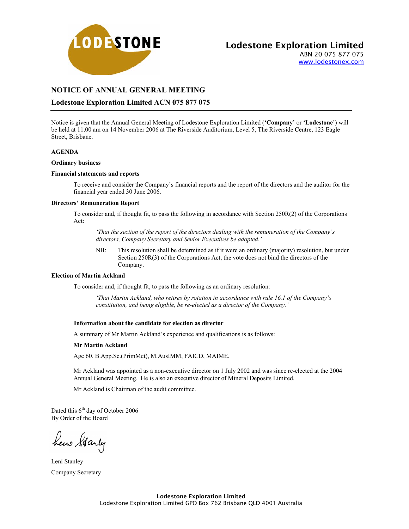

www.lodestonex.com

# **NOTICE OF ANNUAL GENERAL MEETING**

# **Lodestone Exploration Limited ACN 075 877 075**

Notice is given that the Annual General Meeting of Lodestone Exploration Limited ('**Company**' or '**Lodestone**') will be held at 11.00 am on 14 November 2006 at The Riverside Auditorium, Level 5, The Riverside Centre, 123 Eagle Street, Brisbane.

### **AGENDA**

#### **Ordinary business**

### **Financial statements and reports**

To receive and consider the Company's financial reports and the report of the directors and the auditor for the financial year ended 30 June 2006.

#### **Directors' Remuneration Report**

To consider and, if thought fit, to pass the following in accordance with Section 250R(2) of the Corporations Act:

*'That the section of the report of the directors dealing with the remuneration of the Company's directors, Company Secretary and Senior Executives be adopted.'* 

NB: This resolution shall be determined as if it were an ordinary (majority) resolution, but under Section 250R(3) of the Corporations Act, the vote does not bind the directors of the Company.

### **Election of Martin Ackland**

To consider and, if thought fit, to pass the following as an ordinary resolution:

*'That Martin Ackland, who retires by rotation in accordance with rule 16.1 of the Company's constitution, and being eligible, be re-elected as a director of the Company.'* 

### **Information about the candidate for election as director**

A summary of Mr Martin Ackland's experience and qualifications is as follows:

#### **Mr Martin Ackland**

Age 60. B.App.Sc.(PrimMet), M.AusIMM, FAICD, MAIME.

Mr Ackland was appointed as a non-executive director on 1 July 2002 and was since re-elected at the 2004 Annual General Meeting. He is also an executive director of Mineral Deposits Limited.

Mr Ackland is Chairman of the audit committee.

Dated this  $6<sup>th</sup>$  day of October 2006 By Order of the Board

hew Garly

Leni Stanley Company Secretary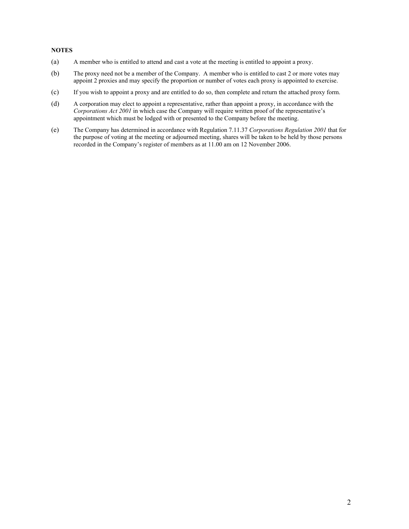### **NOTES**

- (a) A member who is entitled to attend and cast a vote at the meeting is entitled to appoint a proxy.
- (b) The proxy need not be a member of the Company. A member who is entitled to cast 2 or more votes may appoint 2 proxies and may specify the proportion or number of votes each proxy is appointed to exercise.
- (c) If you wish to appoint a proxy and are entitled to do so, then complete and return the attached proxy form.
- (d) A corporation may elect to appoint a representative, rather than appoint a proxy, in accordance with the *Corporations Act 2001* in which case the Company will require written proof of the representative's appointment which must be lodged with or presented to the Company before the meeting.
- (e) The Company has determined in accordance with Regulation 7.11.37 *Corporations Regulation 2001* that for the purpose of voting at the meeting or adjourned meeting, shares will be taken to be held by those persons recorded in the Company's register of members as at 11.00 am on 12 November 2006.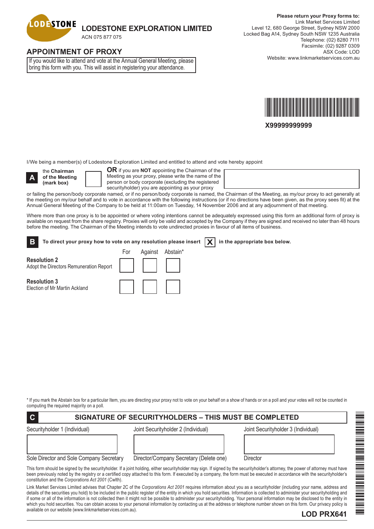

# **APPOINTMENT OF PROXY**

If you would like to attend and vote at the Annual General Meeting, please bring this form with you. This will assist in registering your attendance.



**X99999999999**

I/We being a member(s) of Lodestone Exploration Limited and entitled to attend and vote hereby appoint

**A**

**Resolution 3**

Election of Mr Martin Ackland

the **Chairman of the Meeting (mark box)**

available on our website (www.linkmarketservices.com.au).

**OR** if you are **NOT** appointing the Chairman of the Meeting as your proxy, please write the name of the person or body corporate (excluding the registered securityholder) you are appointing as your proxy

or failing the person/body corporate named, or if no person/body corporate is named, the Chairman of the Meeting, as my/our proxy to act generally at the meeting on my/our behalf and to vote in accordance with the following instructions (or if no directions have been given, as the proxy sees fit) at the Annual General Meeting of the Company to be held at 11:00am on Tuesday, 14 November 2006 and at any adjournment of that meeting.

Where more than one proxy is to be appointed or where voting intentions cannot be adequately expressed using this form an additional form of proxy is available on request from the share registry. Proxies will only be valid and accepted by the Company if they are signed and received no later than 48 hours before the meeting. The Chairman of the Meeting intends to vote undirected proxies in favour of all items of business.

| <b>B</b>                                                                       | To direct your proxy how to vote on any resolution please insert $\ \boldsymbol{\chi}\ $ in the appropriate box below. |                  |  |  |  |
|--------------------------------------------------------------------------------|------------------------------------------------------------------------------------------------------------------------|------------------|--|--|--|
|                                                                                | ⊦or                                                                                                                    | Against Abstain* |  |  |  |
| <b>Resolution 2</b><br>Resolution 2<br>Adopt the Directors Remuneration Report |                                                                                                                        |                  |  |  |  |

\* If you mark the Abstain box for a particular Item, you are directing your proxy not to vote on your behalf on a show of hands or on a poll and your votes will not be counted in computing the required majority on a poll.

| $\overline{c}$<br>SIGNATURE OF SECURITYHOLDERS - THIS MUST BE COMPLETED |                                         |                                                                                                                                                                                                                                                                                                                                                                                                                                                                                                                                                     |  |  |  |  |
|-------------------------------------------------------------------------|-----------------------------------------|-----------------------------------------------------------------------------------------------------------------------------------------------------------------------------------------------------------------------------------------------------------------------------------------------------------------------------------------------------------------------------------------------------------------------------------------------------------------------------------------------------------------------------------------------------|--|--|--|--|
| Securityholder 1 (Individual)                                           | Joint Securityholder 2 (Individual)     | Joint Securityholder 3 (Individual)                                                                                                                                                                                                                                                                                                                                                                                                                                                                                                                 |  |  |  |  |
| Sole Director and Sole Company Secretary                                | Director/Company Secretary (Delete one) | Director                                                                                                                                                                                                                                                                                                                                                                                                                                                                                                                                            |  |  |  |  |
| constitution and the Corporations Act 2001 (Cwlth).                     |                                         | This form should be signed by the securityholder. If a joint holding, either securityholder may sign. If signed by the securityholder's attorney, the power of attorney must have<br>been previously noted by the registry or a certified copy attached to this form. If executed by a company, the form must be executed in accordance with the securityholder's                                                                                                                                                                                   |  |  |  |  |
|                                                                         |                                         | Link Market Services Limited advises that Chapter 2C of the Corporations Act 2001 requires information about you as a securityholder (including your name, address and<br>details of the securities you hold) to be included in the public register of the entity in which you hold securities. Information is collected to administer your securityholding and<br>if some or all of the information is not collected then it might not be possible to administer your securityholding. Your personal information may be disclosed to the entity in |  |  |  |  |

which you hold securities. You can obtain access to your personal information by contacting us at the address or telephone number shown on this form. Our privacy policy is

# **LOD PRX641**

\*LOD PRX641\*

A MARINA A MANAGARA A MARINA A MARINA A MARINA A MARINA A MARINA A MARINA A MARINA A MARINA A MARINA A MARINA